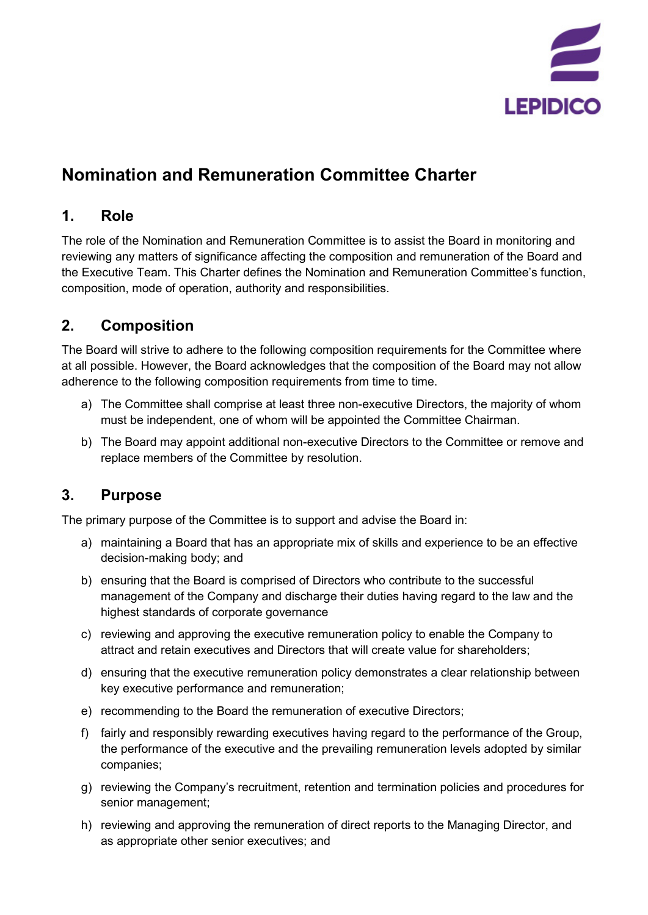

# **Nomination and Remuneration Committee Charter**

# **1. Role**

The role of the Nomination and Remuneration Committee is to assist the Board in monitoring and reviewing any matters of significance affecting the composition and remuneration of the Board and the Executive Team. This Charter defines the Nomination and Remuneration Committee's function, composition, mode of operation, authority and responsibilities.

# **2. Composition**

The Board will strive to adhere to the following composition requirements for the Committee where at all possible. However, the Board acknowledges that the composition of the Board may not allow adherence to the following composition requirements from time to time.

- a) The Committee shall comprise at least three non-executive Directors, the majority of whom must be independent, one of whom will be appointed the Committee Chairman.
- b) The Board may appoint additional non-executive Directors to the Committee or remove and replace members of the Committee by resolution.

# **3. Purpose**

The primary purpose of the Committee is to support and advise the Board in:

- a) maintaining a Board that has an appropriate mix of skills and experience to be an effective decision-making body; and
- b) ensuring that the Board is comprised of Directors who contribute to the successful management of the Company and discharge their duties having regard to the law and the highest standards of corporate governance
- c) reviewing and approving the executive remuneration policy to enable the Company to attract and retain executives and Directors that will create value for shareholders;
- d) ensuring that the executive remuneration policy demonstrates a clear relationship between key executive performance and remuneration;
- e) recommending to the Board the remuneration of executive Directors;
- f) fairly and responsibly rewarding executives having regard to the performance of the Group, the performance of the executive and the prevailing remuneration levels adopted by similar companies;
- g) reviewing the Company's recruitment, retention and termination policies and procedures for senior management;
- h) reviewing and approving the remuneration of direct reports to the Managing Director, and as appropriate other senior executives; and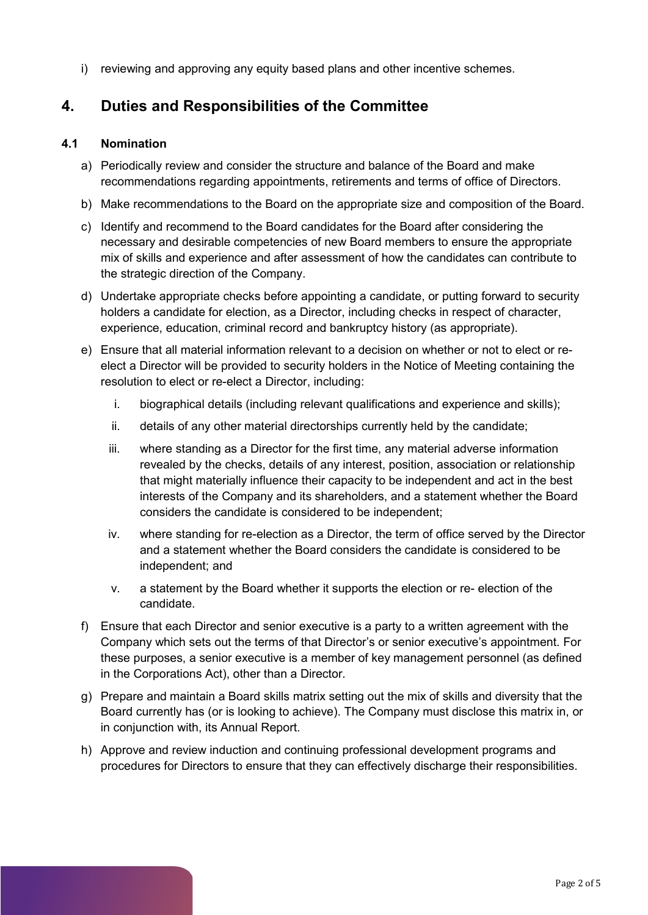i) reviewing and approving any equity based plans and other incentive schemes.

# **4. Duties and Responsibilities of the Committee**

#### **4.1 Nomination**

- a) Periodically review and consider the structure and balance of the Board and make recommendations regarding appointments, retirements and terms of office of Directors.
- b) Make recommendations to the Board on the appropriate size and composition of the Board.
- c) Identify and recommend to the Board candidates for the Board after considering the necessary and desirable competencies of new Board members to ensure the appropriate mix of skills and experience and after assessment of how the candidates can contribute to the strategic direction of the Company.
- d) Undertake appropriate checks before appointing a candidate, or putting forward to security holders a candidate for election, as a Director, including checks in respect of character, experience, education, criminal record and bankruptcy history (as appropriate).
- e) Ensure that all material information relevant to a decision on whether or not to elect or reelect a Director will be provided to security holders in the Notice of Meeting containing the resolution to elect or re-elect a Director, including:
	- i. biographical details (including relevant qualifications and experience and skills);
	- ii. details of any other material directorships currently held by the candidate;
	- iii. where standing as a Director for the first time, any material adverse information revealed by the checks, details of any interest, position, association or relationship that might materially influence their capacity to be independent and act in the best interests of the Company and its shareholders, and a statement whether the Board considers the candidate is considered to be independent;
	- iv. where standing for re-election as a Director, the term of office served by the Director and a statement whether the Board considers the candidate is considered to be independent; and
	- v. a statement by the Board whether it supports the election or re- election of the candidate.
- f) Ensure that each Director and senior executive is a party to a written agreement with the Company which sets out the terms of that Director's or senior executive's appointment. For these purposes, a senior executive is a member of key management personnel (as defined in the Corporations Act), other than a Director.
- g) Prepare and maintain a Board skills matrix setting out the mix of skills and diversity that the Board currently has (or is looking to achieve). The Company must disclose this matrix in, or in conjunction with, its Annual Report.
- h) Approve and review induction and continuing professional development programs and procedures for Directors to ensure that they can effectively discharge their responsibilities.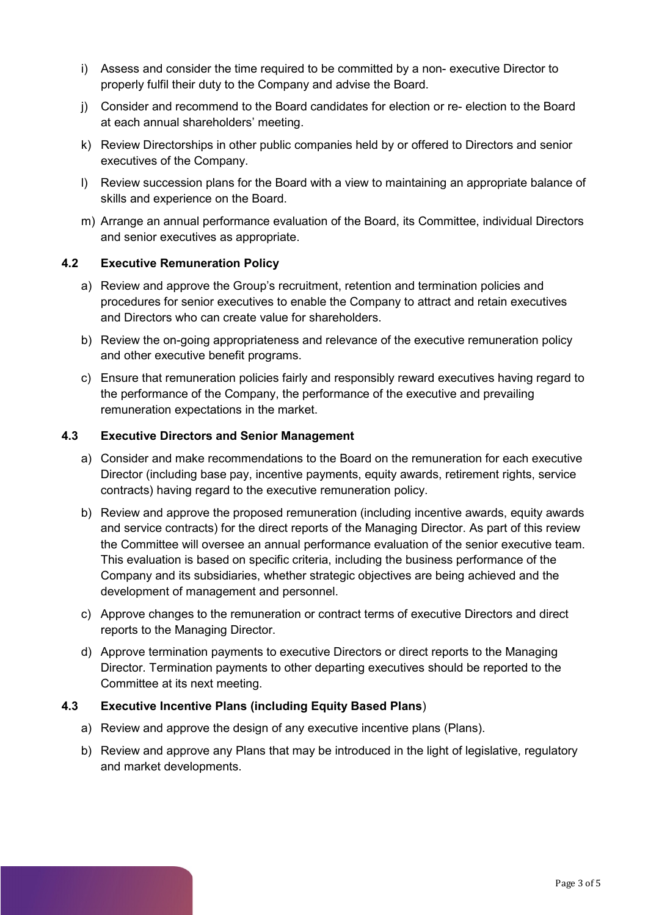- i) Assess and consider the time required to be committed by a non- executive Director to properly fulfil their duty to the Company and advise the Board.
- j) Consider and recommend to the Board candidates for election or re- election to the Board at each annual shareholders' meeting.
- k) Review Directorships in other public companies held by or offered to Directors and senior executives of the Company.
- l) Review succession plans for the Board with a view to maintaining an appropriate balance of skills and experience on the Board.
- m) Arrange an annual performance evaluation of the Board, its Committee, individual Directors and senior executives as appropriate.

#### **4.2 Executive Remuneration Policy**

- a) Review and approve the Group's recruitment, retention and termination policies and procedures for senior executives to enable the Company to attract and retain executives and Directors who can create value for shareholders.
- b) Review the on-going appropriateness and relevance of the executive remuneration policy and other executive benefit programs.
- c) Ensure that remuneration policies fairly and responsibly reward executives having regard to the performance of the Company, the performance of the executive and prevailing remuneration expectations in the market.

#### **4.3 Executive Directors and Senior Management**

- a) Consider and make recommendations to the Board on the remuneration for each executive Director (including base pay, incentive payments, equity awards, retirement rights, service contracts) having regard to the executive remuneration policy.
- b) Review and approve the proposed remuneration (including incentive awards, equity awards and service contracts) for the direct reports of the Managing Director. As part of this review the Committee will oversee an annual performance evaluation of the senior executive team. This evaluation is based on specific criteria, including the business performance of the Company and its subsidiaries, whether strategic objectives are being achieved and the development of management and personnel.
- c) Approve changes to the remuneration or contract terms of executive Directors and direct reports to the Managing Director.
- d) Approve termination payments to executive Directors or direct reports to the Managing Director. Termination payments to other departing executives should be reported to the Committee at its next meeting.

#### **4.3 Executive Incentive Plans (including Equity Based Plans**)

- a) Review and approve the design of any executive incentive plans (Plans).
- b) Review and approve any Plans that may be introduced in the light of legislative, regulatory and market developments.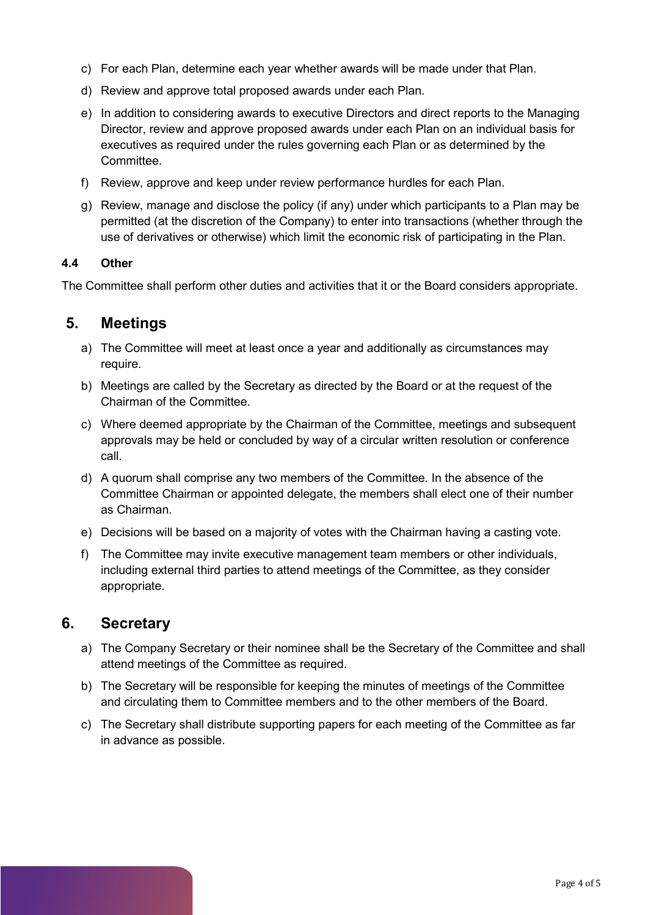- c) For each Plan, determine each year whether awards will be made under that Plan.
- d) Review and approve total proposed awards under each Plan.
- e) In addition to considering awards to executive Directors and direct reports to the Managing Director, review and approve proposed awards under each Plan on an individual basis for executives as required under the rules governing each Plan or as determined by the Committee.
- f) Review, approve and keep under review performance hurdles for each Plan.
- g) Review, manage and disclose the policy (if any) under which participants to a Plan may be permitted (at the discretion of the Company) to enter into transactions (whether through the use of derivatives or otherwise) which limit the economic risk of participating in the Plan.

#### **4.4 Other**

The Committee shall perform other duties and activities that it or the Board considers appropriate.

### **5. Meetings**

- a) The Committee will meet at least once a year and additionally as circumstances may require.
- b) Meetings are called by the Secretary as directed by the Board or at the request of the Chairman of the Committee.
- c) Where deemed appropriate by the Chairman of the Committee, meetings and subsequent approvals may be held or concluded by way of a circular written resolution or conference call.
- d) A quorum shall comprise any two members of the Committee. In the absence of the Committee Chairman or appointed delegate, the members shall elect one of their number as Chairman.
- e) Decisions will be based on a majority of votes with the Chairman having a casting vote.
- f) The Committee may invite executive management team members or other individuals, including external third parties to attend meetings of the Committee, as they consider appropriate.

### **6. Secretary**

- a) The Company Secretary or their nominee shall be the Secretary of the Committee and shall attend meetings of the Committee as required.
- b) The Secretary will be responsible for keeping the minutes of meetings of the Committee and circulating them to Committee members and to the other members of the Board.
- c) The Secretary shall distribute supporting papers for each meeting of the Committee as far in advance as possible.